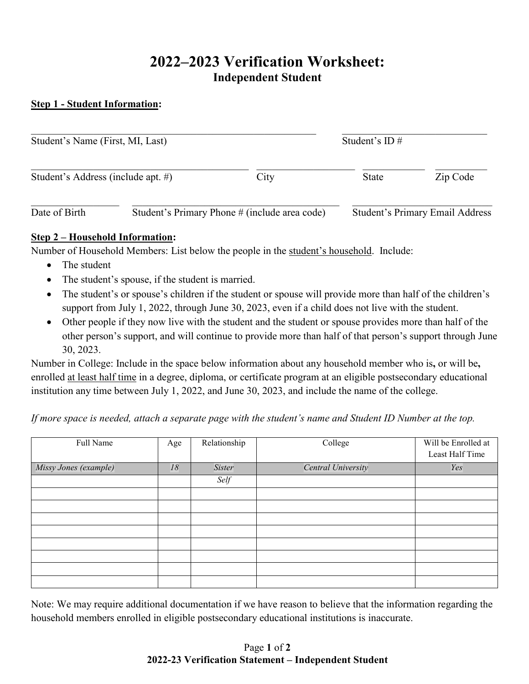# **2022–2023 Verification Worksheet: Independent Student**

#### **Step 1 - Student Information:**

| Student's Name (First, MI, Last)   |  |                                               | Student's ID $#$ |                                        |  |
|------------------------------------|--|-----------------------------------------------|------------------|----------------------------------------|--|
| Student's Address (include apt. #) |  | City                                          | <b>State</b>     | Zip Code                               |  |
| Date of Birth                      |  | Student's Primary Phone # (include area code) |                  | <b>Student's Primary Email Address</b> |  |

#### **Step 2 – Household Information:**

Number of Household Members: List below the people in the student's household. Include:

- The student
- The student's spouse, if the student is married.
- The student's or spouse's children if the student or spouse will provide more than half of the children's support from July 1, 2022, through June 30, 2023, even if a child does not live with the student.
- Other people if they now live with the student and the student or spouse provides more than half of the other person's support, and will continue to provide more than half of that person's support through June 30, 2023.

Number in College: Include in the space below information about any household member who is**,** or will be**,** enrolled at least half time in a degree, diploma, or certificate program at an eligible postsecondary educational institution any time between July 1, 2022, and June 30, 2023, and include the name of the college.

*If more space is needed, attach a separate page with the student's name and Student ID Number at the top.*

| Full Name             | Age | Relationship | College            | Will be Enrolled at<br>Least Half Time |
|-----------------------|-----|--------------|--------------------|----------------------------------------|
| Missy Jones (example) | 18  | Sister       | Central University | Yes                                    |
|                       |     | Self         |                    |                                        |
|                       |     |              |                    |                                        |
|                       |     |              |                    |                                        |
|                       |     |              |                    |                                        |
|                       |     |              |                    |                                        |
|                       |     |              |                    |                                        |
|                       |     |              |                    |                                        |
|                       |     |              |                    |                                        |
|                       |     |              |                    |                                        |

Note: We may require additional documentation if we have reason to believe that the information regarding the household members enrolled in eligible postsecondary educational institutions is inaccurate.

#### Page **1** of **2 2022-23 Verification Statement – Independent Student**